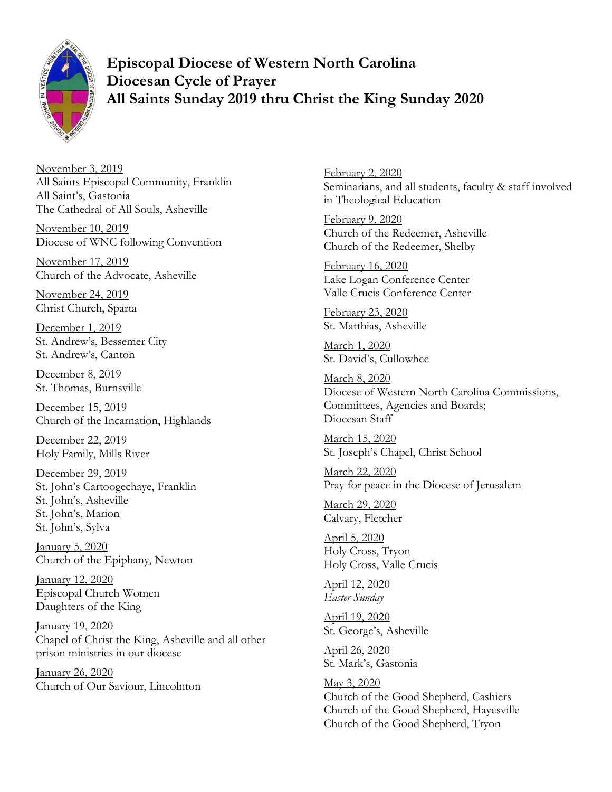

**Episcopal Diocese of Western North Carolina Diocesan Cycle of Prayer All Saints Sunday 2019 thru Christ the King Sunday 2020** 

November 3, 2019 All Saints Episcopal Community, Franklin All Saint's, Gastonia The Cathedral of All Souls, Asheville

November 10, 2019 Diocese of WNC following Convention

November 17, 2019 Church of the Advocate, Asheville

November 24, 2019 Christ Church, Sparta

December 1, 2019 St. Andrew's, Bessemer City St. Andrew's, Canton

December 8, 2019 St. Thomas, Burnsville

December 15, 2019 Church of the Incarnation, Highlands

December 22, 2019 Holy Family, Mills River

December 29, 2019 St. John's Cartoogechaye, Franklin St. John's, Asheville St. John's, Marion St. John's, Sylva

January 5, 2020 Church of the Epiphany, Newton

January 12, 2020 Episcopal Church Women Daughters of the King

January 19, 2020 Chapel of Christ the King, Asheville and all other prison ministries in our diocese

January 26, 2020 Church of Our Saviour, Lincolnton February 2, 2020 Seminarians, and all students, faculty & staff involved in Theological Education

February 9, 2020 Church of the Redeemer, Asheville Church of the Redeemer, Shelby

February 16, 2020 Lake Logan Conference Center Valle Crucis Conference Center

February 23, 2020 St. Matthias, Asheville

March 1, 2020 St. David's, Cullowhee

March 8, 2020 Diocese of Western North Carolina Commissions, Committees, Agencies and Boards; Diocesan Staff

March 15, 2020 St. Joseph's Chapel, Christ School

March 22, 2020 Pray for peace in the Diocese of Jerusalem

March 29, 2020 Calvary, Fletcher

April 5, 2020 Holy Cross, Tryon Holy Cross, Valle Crucis

April 12, 2020 *Easter Sunday* 

April 19, 2020 St. George's, Asheville

April 26, 2020 St. Mark's, Gastonia

May 3, 2020 Church of the Good Shepherd, Cashiers Church of the Good Shepherd, Hayesville Church of the Good Shepherd, Tryon